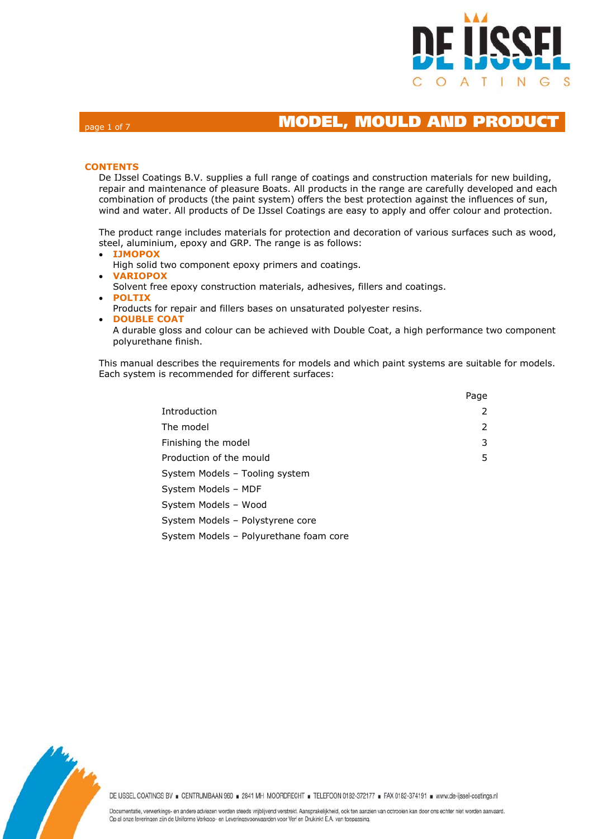

# page 1 of 7 MODEL, MOULD AND PRODUC

### **CONTENTS**

De IJssel Coatings B.V. supplies a full range of coatings and construction materials for new building, repair and maintenance of pleasure Boats. All products in the range are carefully developed and each combination of products (the paint system) offers the best protection against the influences of sun, wind and water. All products of De IJssel Coatings are easy to apply and offer colour and protection.

The product range includes materials for protection and decoration of various surfaces such as wood, steel, aluminium, epoxy and GRP. The range is as follows:

- **IJMOPOX** High solid two component epoxy primers and coatings. **VARIOPOX**
	- Solvent free epoxy construction materials, adhesives, fillers and coatings.
- **POLTIX**
- Products for repair and fillers bases on unsaturated polyester resins.
- **DOUBLE COAT**

A durable gloss and colour can be achieved with Double Coat, a high performance two component polyurethane finish.

This manual describes the requirements for models and which paint systems are suitable for models. Each system is recommended for different surfaces:

|                                        | Page |
|----------------------------------------|------|
| Introduction                           | 2    |
| The model                              | 2    |
| Finishing the model                    | 3    |
| Production of the mould                | 5    |
| System Models - Tooling system         |      |
| System Models - MDF                    |      |
| System Models - Wood                   |      |
| System Models - Polystyrene core       |      |
| System Models - Polyurethane foam core |      |

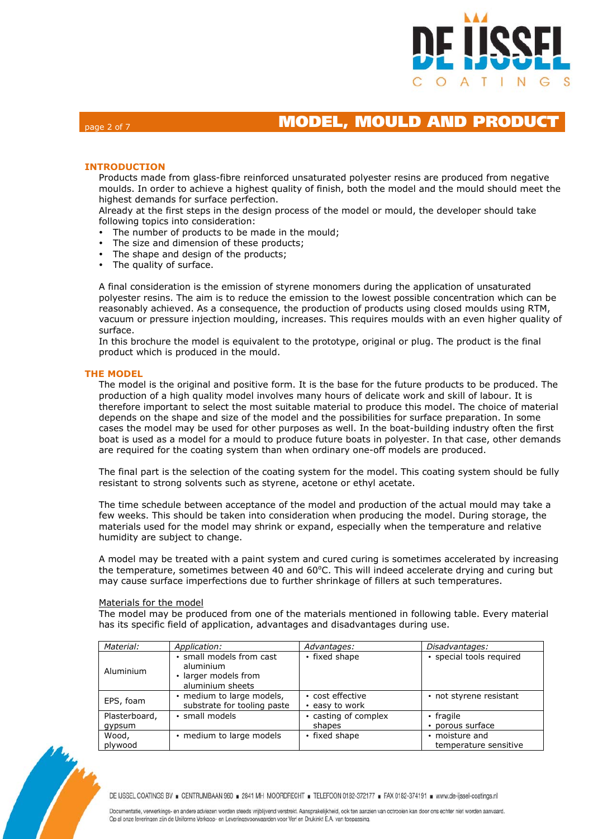

## page 2 of 7 MODEL, MOULD AND PRODUC

### **INTRODUCTION**

Products made from glass-fibre reinforced unsaturated polyester resins are produced from negative moulds. In order to achieve a highest quality of finish, both the model and the mould should meet the highest demands for surface perfection.

Already at the first steps in the design process of the model or mould, the developer should take following topics into consideration:

- The number of products to be made in the mould;
- The size and dimension of these products;
- The shape and design of the products;
- The quality of surface.

A final consideration is the emission of styrene monomers during the application of unsaturated polyester resins. The aim is to reduce the emission to the lowest possible concentration which can be reasonably achieved. As a consequence, the production of products using closed moulds using RTM, vacuum or pressure injection moulding, increases. This requires moulds with an even higher quality of surface.

In this brochure the model is equivalent to the prototype, original or plug. The product is the final product which is produced in the mould.

### **THE MODEL**

The model is the original and positive form. It is the base for the future products to be produced. The production of a high quality model involves many hours of delicate work and skill of labour. It is therefore important to select the most suitable material to produce this model. The choice of material depends on the shape and size of the model and the possibilities for surface preparation. In some cases the model may be used for other purposes as well. In the boat-building industry often the first boat is used as a model for a mould to produce future boats in polyester. In that case, other demands are required for the coating system than when ordinary one-off models are produced.

The final part is the selection of the coating system for the model. This coating system should be fully resistant to strong solvents such as styrene, acetone or ethyl acetate.

The time schedule between acceptance of the model and production of the actual mould may take a few weeks. This should be taken into consideration when producing the model. During storage, the materials used for the model may shrink or expand, especially when the temperature and relative humidity are subject to change.

A model may be treated with a paint system and cured curing is sometimes accelerated by increasing the temperature, sometimes between 40 and 60°C. This will indeed accelerate drying and curing but may cause surface imperfections due to further shrinkage of fillers at such temperatures.

#### Materials for the model

The model may be produced from one of the materials mentioned in following table. Every material has its specific field of application, advantages and disadvantages during use.

| Material:     | Application:                                                                      | Advantages:                        | Disadvantages:           |
|---------------|-----------------------------------------------------------------------------------|------------------------------------|--------------------------|
| Aluminium     | · small models from cast<br>aluminium<br>• larger models from<br>aluminium sheets | • fixed shape                      | · special tools required |
| EPS, foam     | · medium to large models,<br>substrate for tooling paste                          | • cost effective<br>• easy to work | • not styrene resistant  |
| Plasterboard, | · small models                                                                    | · casting of complex               | • fragile                |
| gypsum        |                                                                                   | shapes                             | • porous surface         |
| Wood,         | . medium to large models                                                          | • fixed shape                      | • moisture and           |
| plywood       |                                                                                   |                                    | temperature sensitive    |



DE IJSSEL COATINGS BV E CENTRUMBAAN 960 = 2841 MH MOORDRECHT = TELEFOON 0182-372177 = FAX 0182-374191 = www.de-ijssel-coatings.nl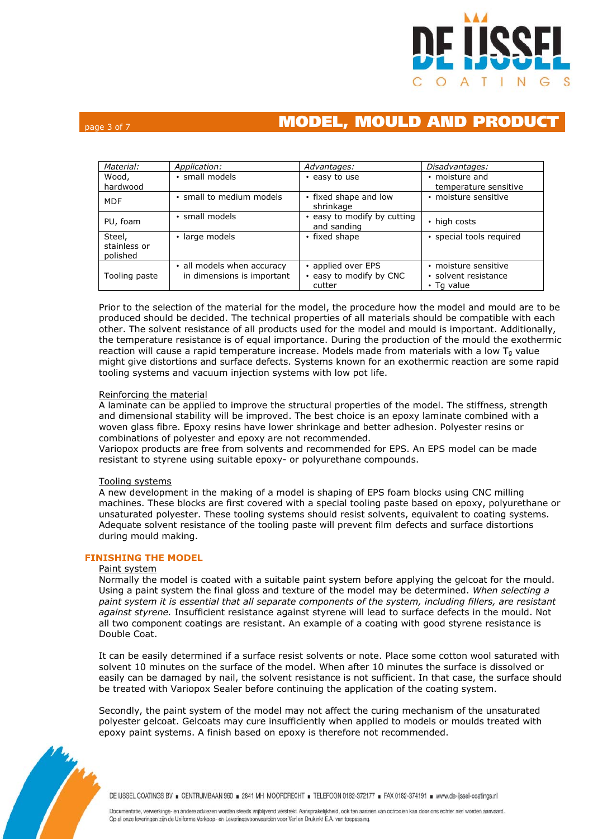

# page 3 of 7 MODEL, MOULD AND PRODUCT

| Material:                          | Application:                                             | Advantages:                                             | Disadvantages:                                             |
|------------------------------------|----------------------------------------------------------|---------------------------------------------------------|------------------------------------------------------------|
| Wood,<br>hardwood                  | · small models                                           | • easy to use                                           | • moisture and<br>temperature sensitive                    |
| <b>MDF</b>                         | · small to medium models                                 | • fixed shape and low<br>shrinkage                      | · moisture sensitive                                       |
| PU, foam                           | · small models                                           | • easy to modify by cutting<br>and sanding              | • high costs                                               |
| Steel,<br>stainless or<br>polished | · large models                                           | • fixed shape                                           | · special tools required                                   |
| Tooling paste                      | • all models when accuracy<br>in dimensions is important | • applied over EPS<br>• easy to modify by CNC<br>cutter | · moisture sensitive<br>• solvent resistance<br>• Tg value |

Prior to the selection of the material for the model, the procedure how the model and mould are to be produced should be decided. The technical properties of all materials should be compatible with each other. The solvent resistance of all products used for the model and mould is important. Additionally, the temperature resistance is of equal importance. During the production of the mould the exothermic reaction will cause a rapid temperature increase. Models made from materials with a low  $T_q$  value might give distortions and surface defects. Systems known for an exothermic reaction are some rapid tooling systems and vacuum injection systems with low pot life.

## Reinforcing the material

A laminate can be applied to improve the structural properties of the model. The stiffness, strength and dimensional stability will be improved. The best choice is an epoxy laminate combined with a woven glass fibre. Epoxy resins have lower shrinkage and better adhesion. Polyester resins or combinations of polyester and epoxy are not recommended.

Variopox products are free from solvents and recommended for EPS. An EPS model can be made resistant to styrene using suitable epoxy- or polyurethane compounds.

### Tooling systems

A new development in the making of a model is shaping of EPS foam blocks using CNC milling machines. These blocks are first covered with a special tooling paste based on epoxy, polyurethane or unsaturated polyester. These tooling systems should resist solvents, equivalent to coating systems. Adequate solvent resistance of the tooling paste will prevent film defects and surface distortions during mould making.

## **FINISHING THE MODEL**

### Paint system

Normally the model is coated with a suitable paint system before applying the gelcoat for the mould. Using a paint system the final gloss and texture of the model may be determined. *When selecting a paint system it is essential that all separate components of the system, including fillers, are resistant against styrene.* Insufficient resistance against styrene will lead to surface defects in the mould. Not all two component coatings are resistant. An example of a coating with good styrene resistance is Double Coat.

It can be easily determined if a surface resist solvents or note. Place some cotton wool saturated with solvent 10 minutes on the surface of the model. When after 10 minutes the surface is dissolved or easily can be damaged by nail, the solvent resistance is not sufficient. In that case, the surface should be treated with Variopox Sealer before continuing the application of the coating system.

Secondly, the paint system of the model may not affect the curing mechanism of the unsaturated polyester gelcoat. Gelcoats may cure insufficiently when applied to models or moulds treated with epoxy paint systems. A finish based on epoxy is therefore not recommended.



DE IJSSEL COATINGS BV E CENTRUMBAAN 960 = 2841 MH MOORDRECHT = TELEFOON 0182-372177 = FAX 0182-374191 = www.de-ijssel-coatings.nl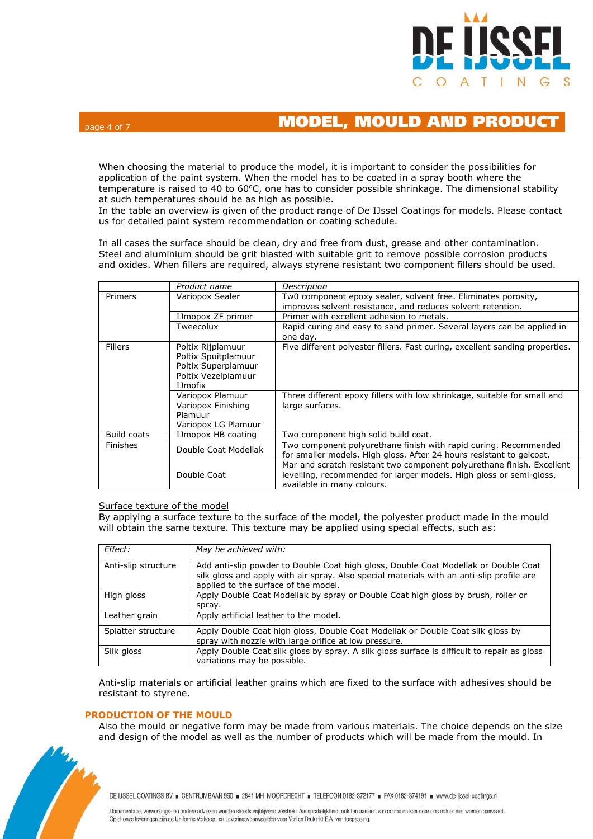

## page 4 of 7 MODEL, MOULD AND PRODUC

When choosing the material to produce the model, it is important to consider the possibilities for application of the paint system. When the model has to be coated in a spray booth where the temperature is raised to 40 to 60°C, one has to consider possible shrinkage. The dimensional stability at such temperatures should be as high as possible.

In the table an overview is given of the product range of De IJssel Coatings for models. Please contact us for detailed paint system recommendation or coating schedule.

In all cases the surface should be clean, dry and free from dust, grease and other contamination. Steel and aluminium should be grit blasted with suitable grit to remove possible corrosion products and oxides. When fillers are required, always styrene resistant two component fillers should be used.

|                | Product name                                                                                              | Description                                                                                                                                                                 |  |
|----------------|-----------------------------------------------------------------------------------------------------------|-----------------------------------------------------------------------------------------------------------------------------------------------------------------------------|--|
| <b>Primers</b> | Variopox Sealer                                                                                           | Tw0 component epoxy sealer, solvent free. Eliminates porosity,<br>improves solvent resistance, and reduces solvent retention.                                               |  |
|                | IJmopox ZF primer                                                                                         | Primer with excellent adhesion to metals.                                                                                                                                   |  |
|                | Tweecolux                                                                                                 | Rapid curing and easy to sand primer. Several layers can be applied in<br>one day.                                                                                          |  |
| <b>Fillers</b> | Poltix Rijplamuur<br>Poltix Spuitplamuur<br>Poltix Superplamuur<br>Poltix Vezelplamuur<br><b>I</b> Jmofix | Five different polyester fillers. Fast curing, excellent sanding properties.                                                                                                |  |
|                | Variopox Plamuur<br>Variopox Finishing<br>Plamuur<br>Variopox LG Plamuur                                  | Three different epoxy fillers with low shrinkage, suitable for small and<br>large surfaces.                                                                                 |  |
| Build coats    | IJmopox HB coating                                                                                        | Two component high solid build coat.                                                                                                                                        |  |
| Finishes       | Double Coat Modellak                                                                                      | Two component polyurethane finish with rapid curing. Recommended<br>for smaller models. High gloss. After 24 hours resistant to gelcoat.                                    |  |
|                | Double Coat                                                                                               | Mar and scratch resistant two component polyurethane finish. Excellent<br>levelling, recommended for larger models. High gloss or semi-gloss,<br>available in many colours. |  |

### Surface texture of the model

By applying a surface texture to the surface of the model, the polyester product made in the mould will obtain the same texture. This texture may be applied using special effects, such as:

| Effect:             | May be achieved with:                                                                                                                                                                                                    |
|---------------------|--------------------------------------------------------------------------------------------------------------------------------------------------------------------------------------------------------------------------|
| Anti-slip structure | Add anti-slip powder to Double Coat high gloss, Double Coat Modellak or Double Coat<br>silk gloss and apply with air spray. Also special materials with an anti-slip profile are<br>applied to the surface of the model. |
| High gloss          | Apply Double Coat Modellak by spray or Double Coat high gloss by brush, roller or<br>spray.                                                                                                                              |
| Leather grain       | Apply artificial leather to the model.                                                                                                                                                                                   |
| Splatter structure  | Apply Double Coat high gloss, Double Coat Modellak or Double Coat silk gloss by<br>spray with nozzle with large orifice at low pressure.                                                                                 |
| Silk gloss          | Apply Double Coat silk gloss by spray. A silk gloss surface is difficult to repair as gloss<br>variations may be possible.                                                                                               |

Anti-slip materials or artificial leather grains which are fixed to the surface with adhesives should be resistant to styrene.

### **PRODUCTION OF THE MOULD**

Also the mould or negative form may be made from various materials. The choice depends on the size and design of the model as well as the number of products which will be made from the mould. In



DE IJSSEL COATINGS BV E CENTRUMBAAN 960 = 2841 MH MOORDRECHT = TELEFOON 0182-372177 = FAX 0182-374191 = www.de-ijssel-coatings.nl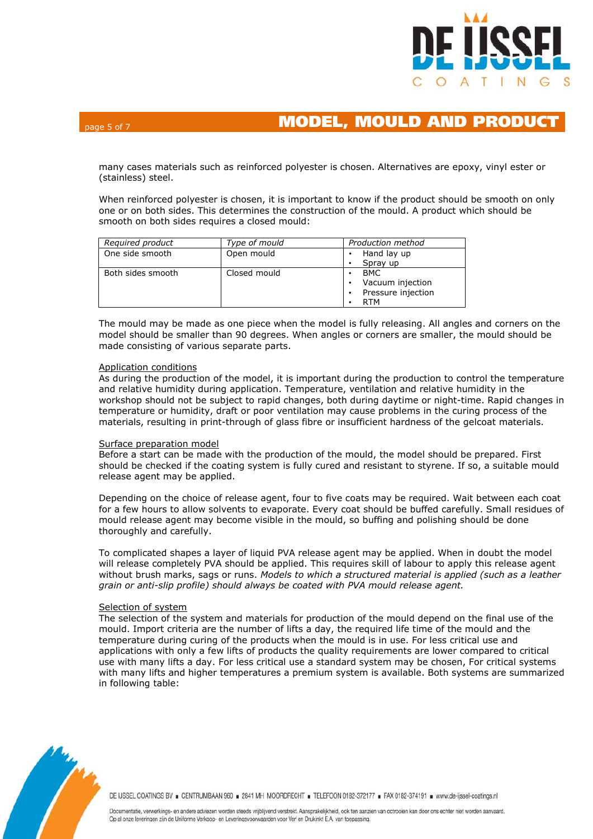

many cases materials such as reinforced polyester is chosen. Alternatives are epoxy, vinyl ester or (stainless) steel.

When reinforced polyester is chosen, it is important to know if the product should be smooth on only one or on both sides. This determines the construction of the mould. A product which should be smooth on both sides requires a closed mould:

| Required product  | Type of mould | Production method  |
|-------------------|---------------|--------------------|
| One side smooth   | Open mould    | Hand lay up        |
|                   |               | Spray up           |
| Both sides smooth | Closed mould  | <b>BMC</b>         |
|                   |               | Vacuum injection   |
|                   |               | Pressure injection |
|                   |               | <b>RTM</b>         |

The mould may be made as one piece when the model is fully releasing. All angles and corners on the model should be smaller than 90 degrees. When angles or corners are smaller, the mould should be made consisting of various separate parts.

## Application conditions

As during the production of the model, it is important during the production to control the temperature and relative humidity during application. Temperature, ventilation and relative humidity in the workshop should not be subject to rapid changes, both during daytime or night-time. Rapid changes in temperature or humidity, draft or poor ventilation may cause problems in the curing process of the materials, resulting in print-through of glass fibre or insufficient hardness of the gelcoat materials.

### Surface preparation model

Before a start can be made with the production of the mould, the model should be prepared. First should be checked if the coating system is fully cured and resistant to styrene. If so, a suitable mould release agent may be applied.

Depending on the choice of release agent, four to five coats may be required. Wait between each coat for a few hours to allow solvents to evaporate. Every coat should be buffed carefully. Small residues of mould release agent may become visible in the mould, so buffing and polishing should be done thoroughly and carefully.

To complicated shapes a layer of liquid PVA release agent may be applied. When in doubt the model will release completely PVA should be applied. This requires skill of labour to apply this release agent without brush marks, sags or runs. *Models to which a structured material is applied (such as a leather grain or anti-slip profile) should always be coated with PVA mould release agent.* 

### Selection of system

The selection of the system and materials for production of the mould depend on the final use of the mould. Import criteria are the number of lifts a day, the required life time of the mould and the temperature during curing of the products when the mould is in use. For less critical use and applications with only a few lifts of products the quality requirements are lower compared to critical use with many lifts a day. For less critical use a standard system may be chosen, For critical systems with many lifts and higher temperatures a premium system is available. Both systems are summarized in following table:



DE IJSSEL COATINGS BV = CENTRUMBAAN 960 = 2841 MH MOORDRECHT = TELEFOON 0182-372177 = FAX 0182-374191 = www.de-ijssel-coatings.nl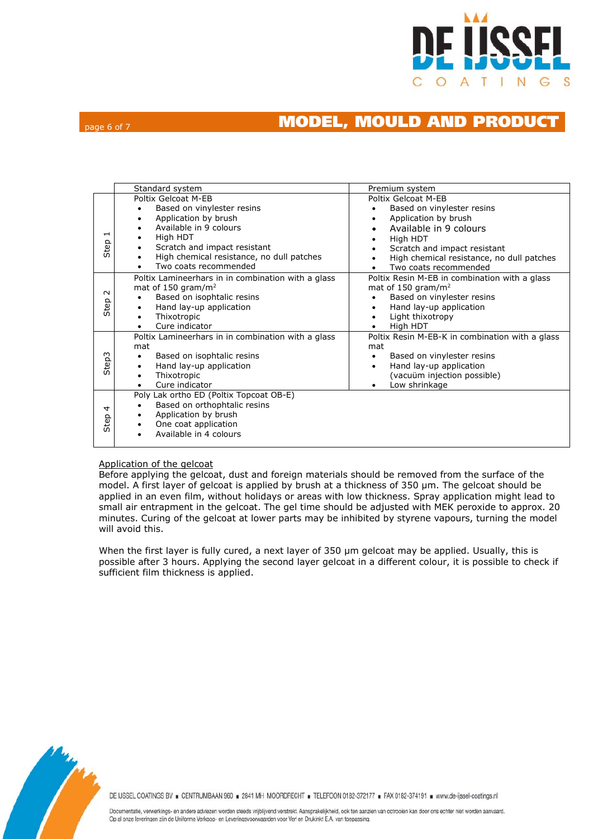

## page 6 of 7 MODEL, MOULD AND PRODUCT

|                                  | Standard system                                                                                                                                                                                                                                                        | Premium system                                                                                                                                                                                                                          |
|----------------------------------|------------------------------------------------------------------------------------------------------------------------------------------------------------------------------------------------------------------------------------------------------------------------|-----------------------------------------------------------------------------------------------------------------------------------------------------------------------------------------------------------------------------------------|
| $\overline{\phantom{0}}$<br>Step | Poltix Gelcoat M-EB<br>Based on vinylester resins<br>Application by brush<br>$\bullet$<br>Available in 9 colours<br>$\bullet$<br>High HDT<br>٠<br>Scratch and impact resistant<br>$\bullet$<br>High chemical resistance, no dull patches<br>٠<br>Two coats recommended | Poltix Gelcoat M-EB<br>Based on vinylester resins<br>Application by brush<br>$\bullet$<br>Available in 9 colours<br>High HDT<br>٠<br>Scratch and impact resistant<br>High chemical resistance, no dull patches<br>Two coats recommended |
| $\sim$<br>Step                   | Poltix Lamineerhars in in combination with a glass<br>mat of 150 gram/m <sup>2</sup><br>Based on isophtalic resins<br>Hand lay-up application<br>٠<br>Thixotropic<br>$\bullet$<br>Cure indicator                                                                       | Poltix Resin M-EB in combination with a glass<br>mat of 150 gram/m <sup>2</sup><br>Based on vinylester resins<br>Hand lay-up application<br>$\bullet$<br>Light thixotropy<br>$\bullet$<br>High HDT                                      |
| Step3                            | Poltix Lamineerhars in in combination with a glass<br>mat<br>Based on isophtalic resins<br>٠<br>Hand lay-up application<br>$\bullet$<br>Thixotropic<br>Cure indicator                                                                                                  | Poltix Resin M-EB-K in combination with a glass<br>mat<br>Based on vinylester resins<br>$\bullet$<br>Hand lay-up application<br>(vacuüm injection possible)<br>Low shrinkage                                                            |
| 4<br>Step                        | Poly Lak ortho ED (Poltix Topcoat OB-E)<br>Based on orthophtalic resins<br>Application by brush<br>٠<br>One coat application<br>٠<br>Available in 4 colours                                                                                                            |                                                                                                                                                                                                                                         |

### Application of the gelcoat

Before applying the gelcoat, dust and foreign materials should be removed from the surface of the model. A first layer of gelcoat is applied by brush at a thickness of 350 µm. The gelcoat should be applied in an even film, without holidays or areas with low thickness. Spray application might lead to small air entrapment in the gelcoat. The gel time should be adjusted with MEK peroxide to approx. 20 minutes. Curing of the gelcoat at lower parts may be inhibited by styrene vapours, turning the model will avoid this.

When the first layer is fully cured, a next layer of 350 µm gelcoat may be applied. Usually, this is possible after 3 hours. Applying the second layer gelcoat in a different colour, it is possible to check if sufficient film thickness is applied.